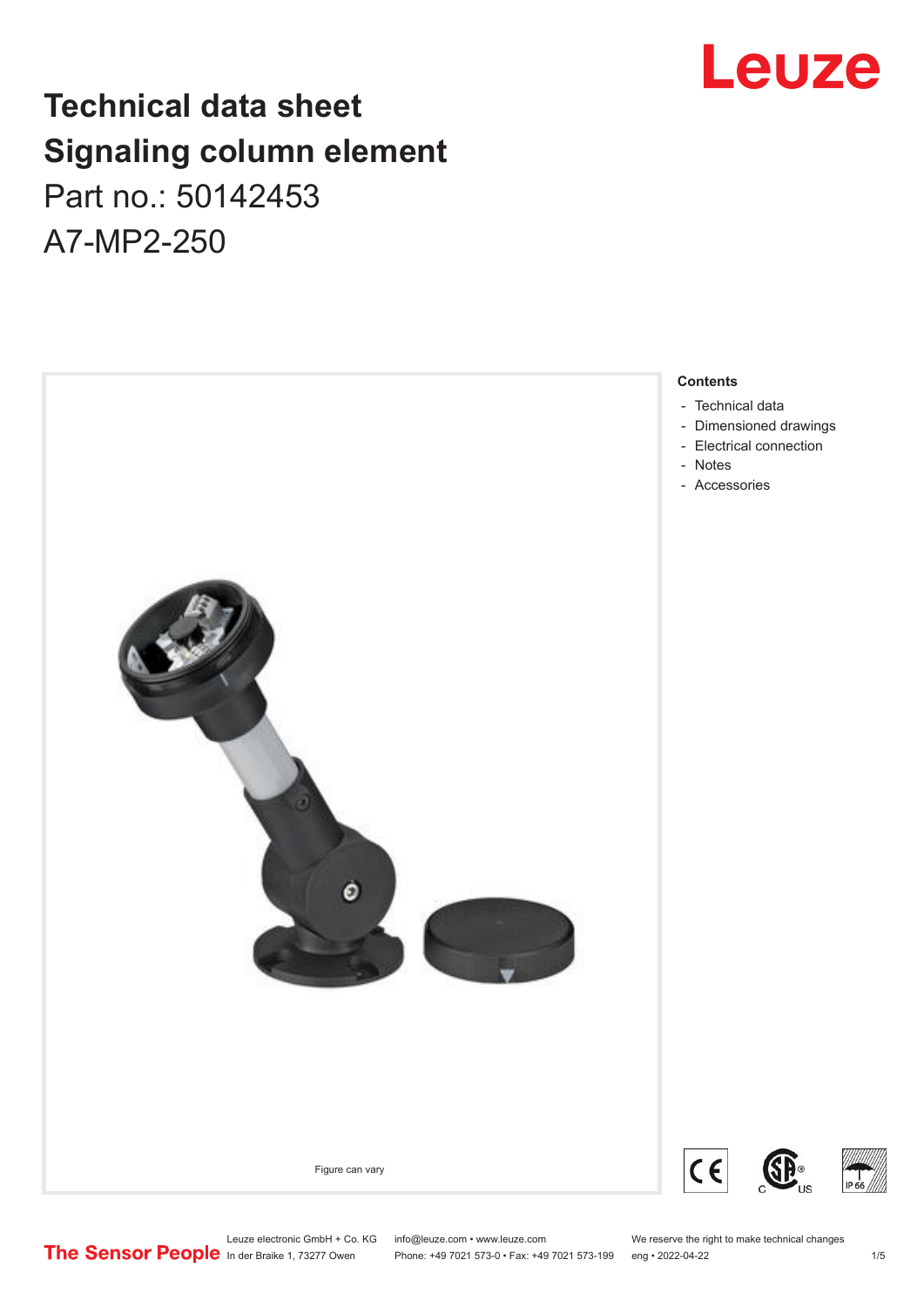## **Technical data sheet Signaling column element**

Part no.: 50142453 A7-MP2-250





Leuze electronic GmbH + Co. KG info@leuze.com • www.leuze.com We reserve the right to make technical changes<br>
The Sensor People in der Braike 1, 73277 Owen Phone: +49 7021 573-0 • Fax: +49 7021 573-199 eng • 2022-04-22

Phone: +49 7021 573-0 • Fax: +49 7021 573-199 eng • 2022-04-22 1 75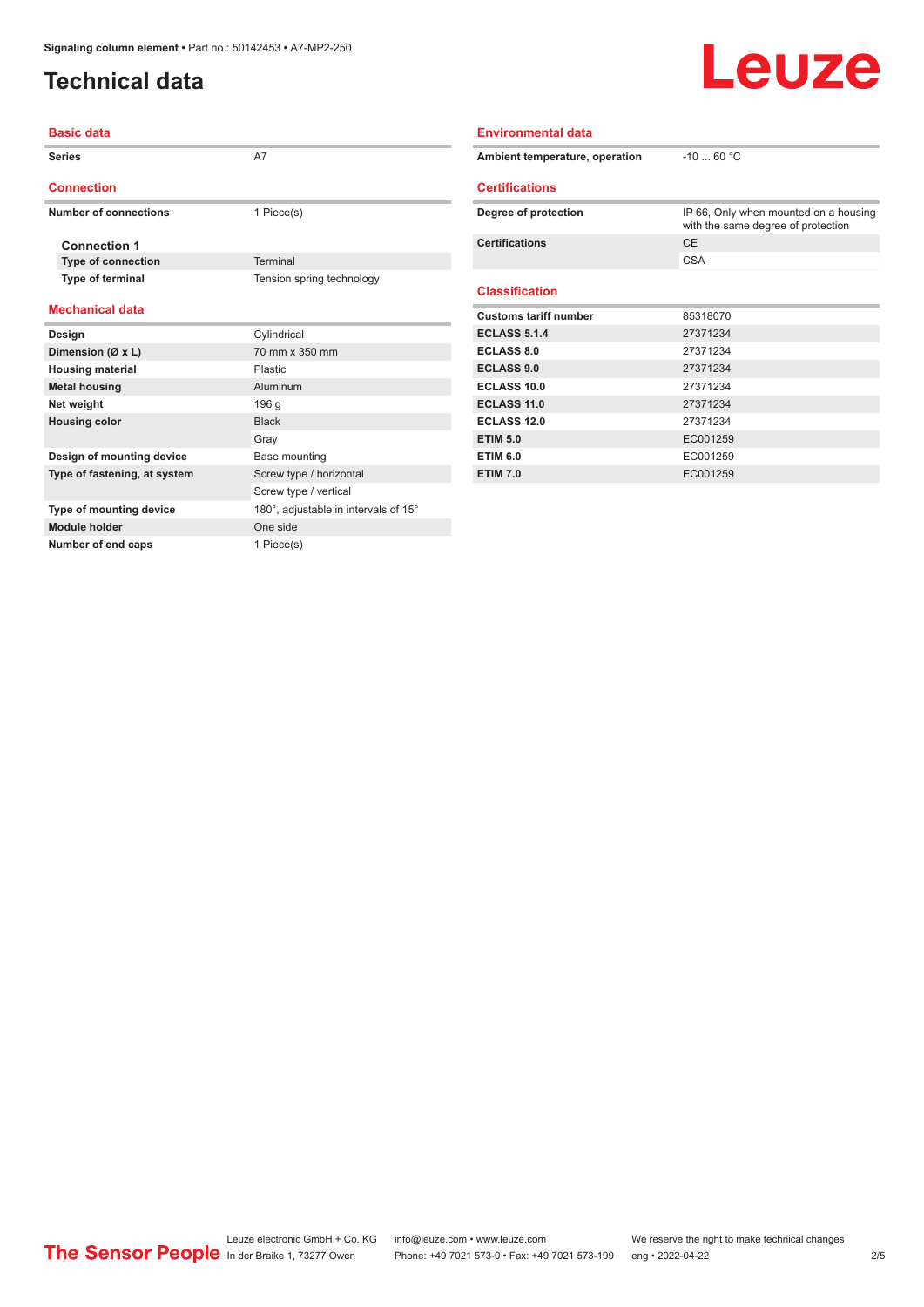**Number of end caps** 1 Piece(s)

### <span id="page-1-0"></span>**Technical data**

## Leuze

| <b>Basic data</b>            |                                      | <b>Environmental data</b>      |                                                                             |  |
|------------------------------|--------------------------------------|--------------------------------|-----------------------------------------------------------------------------|--|
| <b>Series</b>                | A7                                   | Ambient temperature, operation | $-10$ 60 °C                                                                 |  |
| <b>Connection</b>            |                                      | <b>Certifications</b>          |                                                                             |  |
| <b>Number of connections</b> | 1 Piece(s)                           | Degree of protection           | IP 66, Only when mounted on a housing<br>with the same degree of protection |  |
| <b>Connection 1</b>          |                                      | <b>Certifications</b>          | <b>CE</b>                                                                   |  |
| <b>Type of connection</b>    | <b>Terminal</b>                      |                                | <b>CSA</b>                                                                  |  |
| Type of terminal             | Tension spring technology            | <b>Classification</b>          |                                                                             |  |
| <b>Mechanical data</b>       |                                      | <b>Customs tariff number</b>   | 85318070                                                                    |  |
| Design                       | Cylindrical                          | <b>ECLASS 5.1.4</b>            | 27371234                                                                    |  |
| Dimension (Ø x L)            | 70 mm x 350 mm                       | <b>ECLASS 8.0</b>              | 27371234                                                                    |  |
| <b>Housing material</b>      | Plastic                              | <b>ECLASS 9.0</b>              | 27371234                                                                    |  |
| <b>Metal housing</b>         | Aluminum                             | ECLASS 10.0                    | 27371234                                                                    |  |
| Net weight                   | 196 g                                | <b>ECLASS 11.0</b>             | 27371234                                                                    |  |
| <b>Housing color</b>         | <b>Black</b>                         | <b>ECLASS 12.0</b>             | 27371234                                                                    |  |
|                              | Gray                                 | <b>ETIM 5.0</b>                | EC001259                                                                    |  |
| Design of mounting device    | Base mounting                        | <b>ETIM 6.0</b>                | EC001259                                                                    |  |
| Type of fastening, at system | Screw type / horizontal              | <b>ETIM 7.0</b>                | EC001259                                                                    |  |
|                              | Screw type / vertical                |                                |                                                                             |  |
| Type of mounting device      | 180°, adjustable in intervals of 15° |                                |                                                                             |  |
| Module holder                | One side                             |                                |                                                                             |  |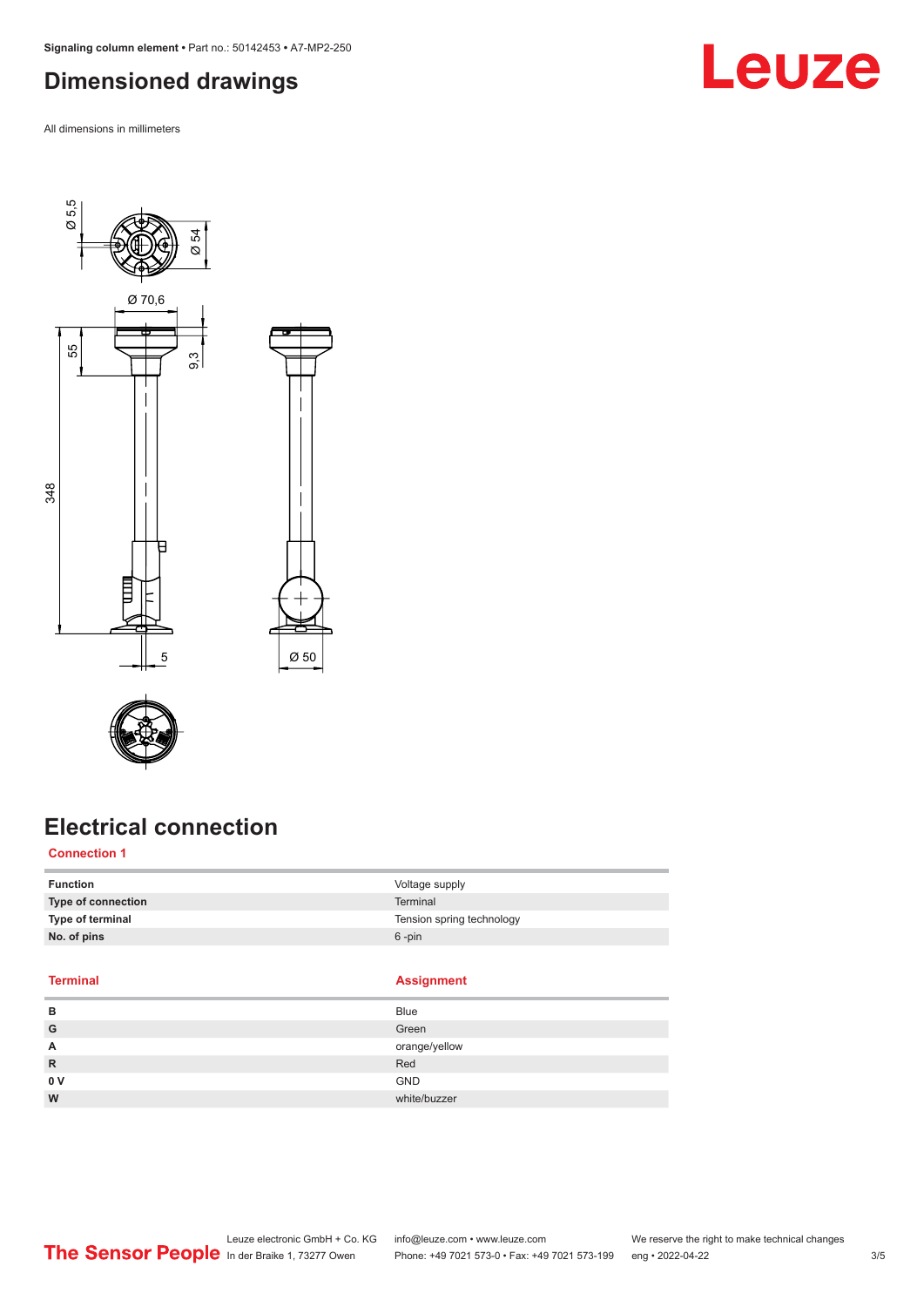<span id="page-2-0"></span>**Signaling column element •** Part no.: 50142453 **•** A7-MP2-250

#### **Dimensioned drawings**

All dimensions in millimeters





## **Electrical connection**

#### **Connection 1**

| <b>Function</b>    | Voltage supply            |
|--------------------|---------------------------|
| Type of connection | <b>Terminal</b>           |
| Type of terminal   | Tension spring technology |
| No. of pins        | $6 - pin$                 |

Ø 50

#### **Terminal**

| Assianment |  |
|------------|--|
|------------|--|

| в   | <b>Blue</b>   |
|-----|---------------|
| G   | Green         |
| A   | orange/yellow |
| R   | Red           |
| 0 V | GND           |
| W   | white/buzzer  |
|     |               |

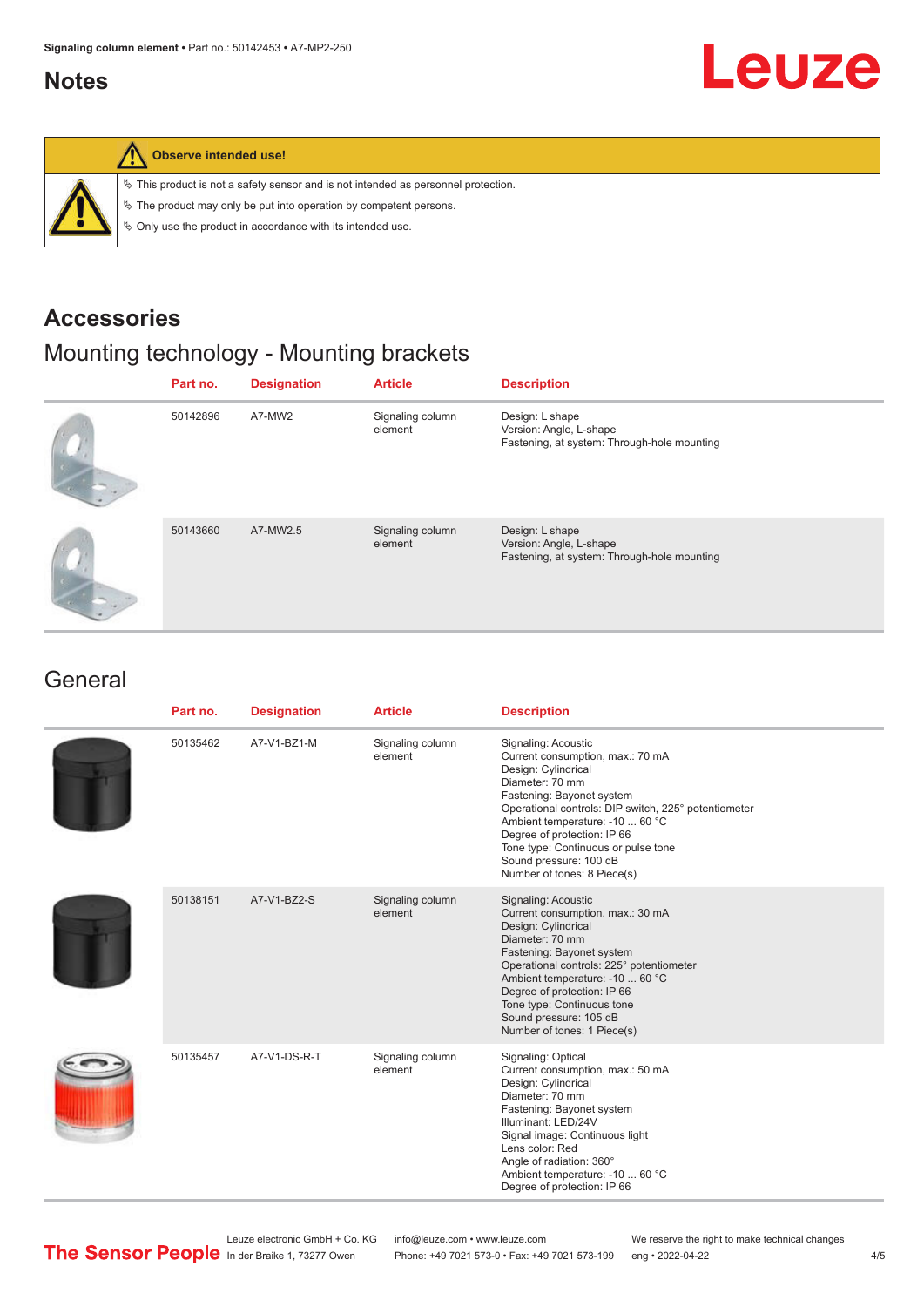#### <span id="page-3-0"></span>**Notes**

# Leuze



#### **Observe intended use!**

 $\%$  This product is not a safety sensor and is not intended as personnel protection.

 $\%$  The product may only be put into operation by competent persons.

 $\%$  Only use the product in accordance with its intended use.

#### **Accessories**

### Mounting technology - Mounting brackets

| Part no. | <b>Designation</b> | <b>Article</b>              | <b>Description</b>                                                                        |
|----------|--------------------|-----------------------------|-------------------------------------------------------------------------------------------|
| 50142896 | A7-MW2             | Signaling column<br>element | Design: L shape<br>Version: Angle, L-shape<br>Fastening, at system: Through-hole mounting |
| 50143660 | A7-MW2.5           | Signaling column<br>element | Design: L shape<br>Version: Angle, L-shape<br>Fastening, at system: Through-hole mounting |

#### **General**

| Part no. | <b>Designation</b> | <b>Article</b>              | <b>Description</b>                                                                                                                                                                                                                                                                                                                                       |
|----------|--------------------|-----------------------------|----------------------------------------------------------------------------------------------------------------------------------------------------------------------------------------------------------------------------------------------------------------------------------------------------------------------------------------------------------|
| 50135462 | A7-V1-BZ1-M        | Signaling column<br>element | Signaling: Acoustic<br>Current consumption, max.: 70 mA<br>Design: Cylindrical<br>Diameter: 70 mm<br>Fastening: Bayonet system<br>Operational controls: DIP switch, 225° potentiometer<br>Ambient temperature: -10  60 °C<br>Degree of protection: IP 66<br>Tone type: Continuous or pulse tone<br>Sound pressure: 100 dB<br>Number of tones: 8 Piece(s) |
| 50138151 | A7-V1-BZ2-S        | Signaling column<br>element | Signaling: Acoustic<br>Current consumption, max.: 30 mA<br>Design: Cylindrical<br>Diameter: 70 mm<br>Fastening: Bayonet system<br>Operational controls: 225° potentiometer<br>Ambient temperature: -10  60 °C<br>Degree of protection: IP 66<br>Tone type: Continuous tone<br>Sound pressure: 105 dB<br>Number of tones: 1 Piece(s)                      |
| 50135457 | A7-V1-DS-R-T       | Signaling column<br>element | Signaling: Optical<br>Current consumption, max.: 50 mA<br>Design: Cylindrical<br>Diameter: 70 mm<br>Fastening: Bayonet system<br>Illuminant: LED/24V<br>Signal image: Continuous light<br>Lens color: Red<br>Angle of radiation: 360°<br>Ambient temperature: -10  60 °C<br>Degree of protection: IP 66                                                  |

Leuze electronic GmbH + Co. KG info@leuze.com • www.leuze.com We reserve the right to make technical changes<br>
The Sensor People in der Braike 1, 73277 Owen Phone: +49 7021 573-0 • Fax: +49 7021 573-199 eng • 2022-04-22

Phone: +49 7021 573-0 • Fax: +49 7021 573-199 eng • 2022-04-22 4/5